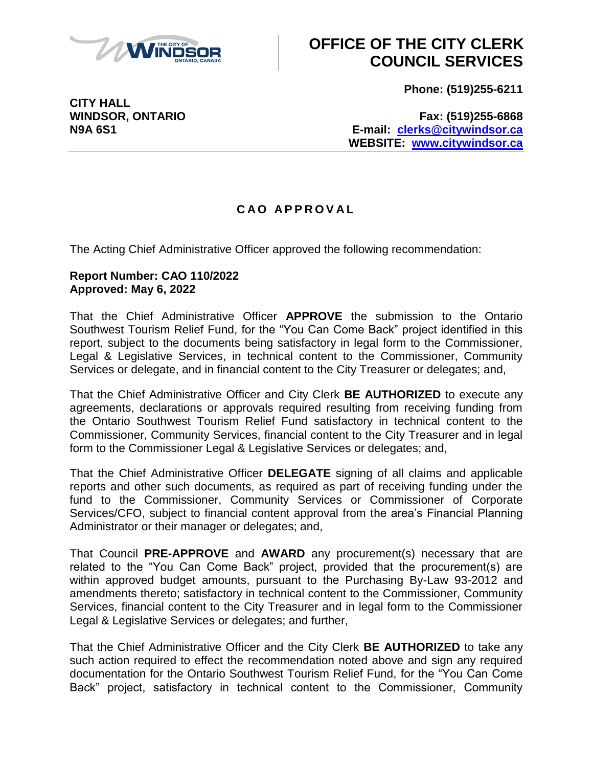

# **OFFICE OF THE CITY CLERK COUNCIL SERVICES**

**Phone: (519)255-6211**

**CITY HALL**

**WINDSOR, ONTARIO Fax: (519)255-6868 N9A 6S1 E-mail: [clerks@citywindsor.ca](mailto:clerks@citywindsor.ca) WEBSITE: [www.citywindsor.ca](http://www.citywindsor.ca/)**

### **C A O A P P R O V A L**

The Acting Chief Administrative Officer approved the following recommendation:

#### **Report Number: CAO 110/2022 Approved: May 6, 2022**

That the Chief Administrative Officer **APPROVE** the submission to the Ontario Southwest Tourism Relief Fund, for the "You Can Come Back" project identified in this report, subject to the documents being satisfactory in legal form to the Commissioner, Legal & Legislative Services, in technical content to the Commissioner, Community Services or delegate, and in financial content to the City Treasurer or delegates; and,

That the Chief Administrative Officer and City Clerk **BE AUTHORIZED** to execute any agreements, declarations or approvals required resulting from receiving funding from the Ontario Southwest Tourism Relief Fund satisfactory in technical content to the Commissioner, Community Services, financial content to the City Treasurer and in legal form to the Commissioner Legal & Legislative Services or delegates; and,

That the Chief Administrative Officer **DELEGATE** signing of all claims and applicable reports and other such documents, as required as part of receiving funding under the fund to the Commissioner, Community Services or Commissioner of Corporate Services/CFO, subject to financial content approval from the area's Financial Planning Administrator or their manager or delegates; and,

That Council **PRE-APPROVE** and **AWARD** any procurement(s) necessary that are related to the "You Can Come Back" project, provided that the procurement(s) are within approved budget amounts, pursuant to the Purchasing By-Law 93-2012 and amendments thereto; satisfactory in technical content to the Commissioner, Community Services, financial content to the City Treasurer and in legal form to the Commissioner Legal & Legislative Services or delegates; and further,

That the Chief Administrative Officer and the City Clerk **BE AUTHORIZED** to take any such action required to effect the recommendation noted above and sign any required documentation for the Ontario Southwest Tourism Relief Fund, for the "You Can Come Back" project, satisfactory in technical content to the Commissioner, Community